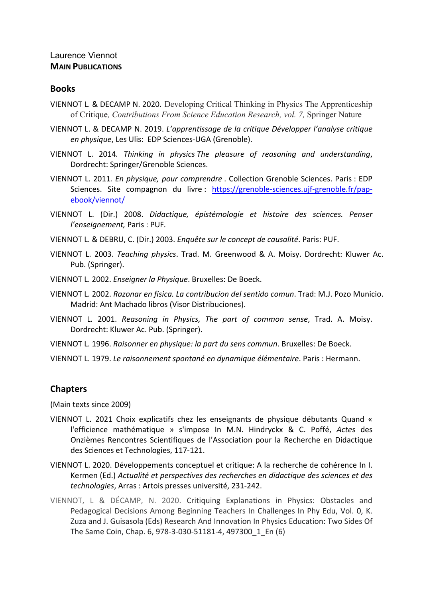# Laurence Viennot **MAIN PUBLICATIONS**

### **Books**

- VIENNOT L. & DECAMP N. 2020. Developing Critical Thinking in Physics The Apprenticeship of Critique*, Contributions From Science Education Research, vol. 7,* Springer Nature
- VIENNOT L. & DECAMP N. 2019. *L'apprentissage de la critique Développer l'analyse critique en physique*, Les Ulis: EDP Sciences‐UGA (Grenoble).
- VIENNOT L. 2014*. Thinking in physics The pleasure of reasoning and understanding*, Dordrecht: Springer/Grenoble Sciences.
- VIENNOT L. 2011*. En physique, pour comprendre* . Collection Grenoble Sciences. Paris : EDP Sciences. Site compagnon du livre : https://grenoble-sciences.ujf-grenoble.fr/papebook/viennot/
- VIENNOT L. (Dir.) 2008. *Didactique, épistémologie et histoire des sciences. Penser l'enseignement,* Paris : PUF*.*
- VIENNOT L. & DEBRU, C. (Dir.) 2003. *Enquête sur le concept de causalité*. Paris: PUF.
- VIENNOT L. 2003. *Teaching physics*. Trad. M. Greenwood & A. Moisy. Dordrecht: Kluwer Ac. Pub. (Springer).
- VIENNOT L. 2002. *Enseigner la Physique*. Bruxelles: De Boeck.
- VIENNOT L. 2002. *Razonar en fisica. La contribucion del sentido comun*. Trad: M.J. Pozo Municio. Madrid: Ant Machado libros (Visor Distribuciones).
- VIENNOT L. 2001. *Reasoning in Physics, The part of common sense*, Trad. A. Moisy. Dordrecht: Kluwer Ac. Pub. (Springer).
- VIENNOT L. 1996. *Raisonner en physique: la part du sens commun*. Bruxelles: De Boeck.
- VIENNOT L. 1979. *Le raisonnement spontané en dynamique élémentaire*. Paris : Hermann.

## **Chapters**

(Main texts since 2009)

- VIENNOT L. 2021 Choix explicatifs chez les enseignants de physique débutants Quand « l'efficience mathématique » s'impose In M.N. Hindryckx & C. Poffé, *Actes* des Onzièmes Rencontres Scientifiques de l'Association pour la Recherche en Didactique des Sciences et Technologies, 117‐121.
- VIENNOT L. 2020. Développements conceptuel et critique: A la recherche de cohérence In I. Kermen (Ed.) *Actualité et perspectives des recherches en didactique des sciences et des technologies*, Arras : Artois presses université, 231‐242.
- VIENNOT, L & DÉCAMP, N. 2020. Critiquing Explanations in Physics: Obstacles and Pedagogical Decisions Among Beginning Teachers In Challenges In Phy Edu, Vol. 0, K. Zuza and J. Guisasola (Eds) Research And Innovation In Physics Education: Two Sides Of The Same Coin, Chap. 6, 978‐3‐030‐51181‐4, 497300\_1\_En (6)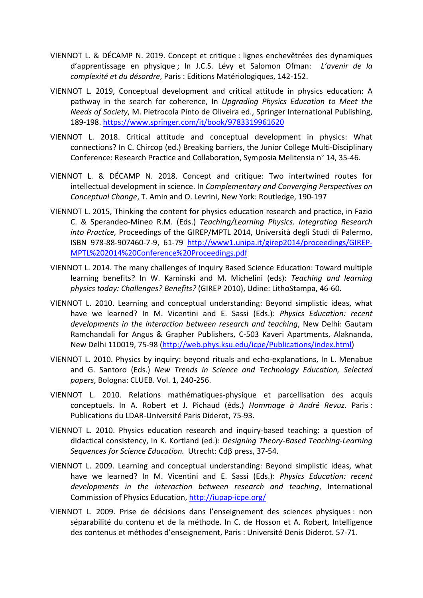- VIENNOT L. & DÉCAMP N. 2019. Concept et critique : lignes enchevêtrées des dynamiques d'apprentissage en physique ; In J.C.S. Lévy et Salomon Ofman: *L'avenir de la complexité et du désordre*, Paris : Editions Matériologiques, 142‐152.
- VIENNOT L. 2019, Conceptual development and critical attitude in physics education: A pathway in the search for coherence, In *Upgrading Physics Education to Meet the Needs of Society*, M. Pietrocola Pinto de Oliveira ed., Springer International Publishing, 189‐198. https://www.springer.com/it/book/9783319961620
- VIENNOT L. 2018. Critical attitude and conceptual development in physics: What connections? In C. Chircop (ed.) Breaking barriers, the Junior College Multi‐Disciplinary Conference: Research Practice and Collaboration, Symposia Melitensia n° 14, 35‐46.
- VIENNOT L. & DÉCAMP N. 2018. Concept and critique: Two intertwined routes for intellectual development in science. In *Complementary and Converging Perspectives on Conceptual Change*, T. Amin and O. Levrini, New York: Routledge, 190‐197
- VIENNOT L. 2015, Thinking the content for physics education research and practice, in Fazio C. & Sperandeo‐Mineo R.M. (Eds.) *Teaching/Learning Physics. Integrating Research into Practice,* Proceedings of the GIREP/MPTL 2014, Università degli Studi di Palermo, ISBN 978‐88‐907460‐7‐9, 61‐79 http://www1.unipa.it/girep2014/proceedings/GIREP‐ MPTL%202014%20Conference%20Proceedings.pdf
- VIENNOT L. 2014. The many challenges of Inquiry Based Science Education: Toward multiple learning benefits? In W. Kaminski and M. Michelini (eds): *Teaching and learning physics today: Challenges? Benefits?* (GIREP 2010), Udine: LithoStampa, 46‐60.
- VIENNOT L. 2010. Learning and conceptual understanding: Beyond simplistic ideas, what have we learned? In M. Vicentini and E. Sassi (Eds.): *Physics Education: recent developments in the interaction between research and teaching*, New Delhi: Gautam Ramchandali for Angus & Grapher Publishers, C‐503 Kaveri Apartments, Alaknanda, New Delhi 110019, 75‐98 (http://web.phys.ksu.edu/icpe/Publications/index.html)
- VIENNOT L. 2010. Physics by inquiry: beyond rituals and echo‐explanations, In L. Menabue and G. Santoro (Eds.) *New Trends in Science and Technology Education, Selected papers*, Bologna: CLUEB. Vol. 1, 240‐256.
- VIENNOT L. 2010. Relations mathématiques‐physique et parcellisation des acquis conceptuels. In A. Robert et J. Pichaud (éds.) *Hommage à André Revuz*. Paris : Publications du LDAR‐Université Paris Diderot, 75‐93.
- VIENNOT L. 2010. Physics education research and inquiry‐based teaching: a question of didactical consistency, In K. Kortland (ed.): *Designing Theory‐Based Teaching‐Learning Sequences for Science Education.* Utrecht: Cdβ press, 37‐54.
- VIENNOT L. 2009. Learning and conceptual understanding: Beyond simplistic ideas, what have we learned? In M. Vicentini and E. Sassi (Eds.): *Physics Education: recent developments in the interaction between research and teaching*, International Commission of Physics Education, http://iupap‐icpe.org/
- VIENNOT L. 2009. Prise de décisions dans l'enseignement des sciences physiques : non séparabilité du contenu et de la méthode. In C. de Hosson et A. Robert, Intelligence des contenus et méthodes d'enseignement, Paris : Université Denis Diderot. 57‐71.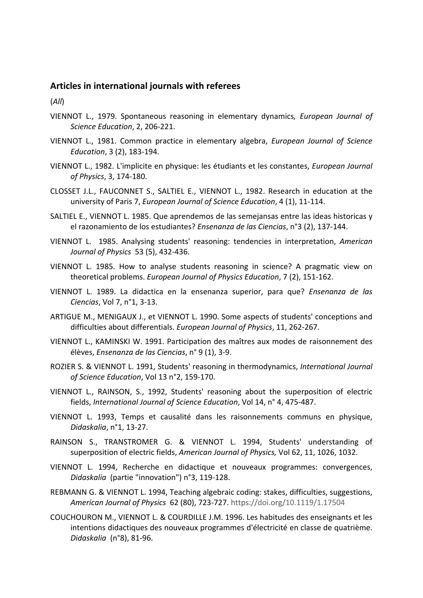### **Articles in international journals with referees**

(*All*)

- VIENNOT L., 1979. Spontaneous reasoning in elementary dynamics*, European Journal of Science Education*, 2, 206‐221.
- VIENNOT L., 1981. Common practice in elementary algebra, *European Journal of Science Education*, 3 (2), 183‐194.
- VIENNOT L., 1982. L'implicite en physique: les étudiants et les constantes, *European Journal of Physics*, 3, 174‐180.
- CLOSSET J.L., FAUCONNET S., SALTIEL E., VIENNOT L., 1982. Research in education at the university of Paris 7, *European Journal of Science Education*, 4 (1), 11‐114.
- SALTIEL E., VIENNOT L. 1985. Que aprendemos de las semejansas entre las ideas historicas y el razonamiento de los estudiantes? *Ensenanza de las Ciencias*, n°3 (2), 137‐144.
- VIENNOT L. 1985. Analysing students' reasoning: tendencies in interpretation, *American Journal of Physics* 53 (5), 432‐436.
- VIENNOT L. 1985. How to analyse students reasoning in science? A pragmatic view on theoretical problems. *European Journal of Physics Education*, 7 (2), 151‐162.
- VIENNOT L. 1989. La didactica en la ensenanza superior, para que? *Ensenanza de las Ciencias*, Vol 7, n°1, 3‐13.
- ARTIGUE M., MENIGAUX J., et VIENNOT L. 1990. Some aspects of students' conceptions and difficulties about differentials. *European Journal of Physics*, 11, 262‐267.
- VIENNOT L., KAMINSKI W. 1991. Participation des maîtres aux modes de raisonnement des élèves, *Ensenanza de las Ciencias*, n° 9 (1), 3‐9.
- ROZIER S. & VIENNOT L. 1991, Students' reasoning in thermodynamics, *International Journal of Science Education*, Vol 13 n°2, 159‐170.
- VIENNOT L., RAINSON, S., 1992, Students' reasoning about the superposition of electric fields, *International Journal of Science Education*, Vol 14, n° 4, 475‐487.
- VIENNOT L. 1993, Temps et causalité dans les raisonnements communs en physique, *Didaskalia*, n°1, 13‐27.
- RAINSON S., TRANSTROMER G. & VIENNOT L. 1994, Students' understanding of superposition of electric fields, *American Journal of Physics,* Vol 62, 11, 1026, 1032.
- VIENNOT L. 1994, Recherche en didactique et nouveaux programmes: convergences, *Didaskalia* (partie "innovation") n°3, 119‐128.
- REBMANN G. & VIENNOT L. 1994, Teaching algebraic coding: stakes, difficulties, suggestions, *American Journal of Physics* 62 (80), 723‐727. https://doi.org/10.1119/1.17504
- COUCHOURON M., VIENNOT L. & COURDILLE J.M. 1996. Les habitudes des enseignants et les intentions didactiques des nouveaux programmes d'électricité en classe de quatrième. *Didaskalia* (n°8), 81‐96.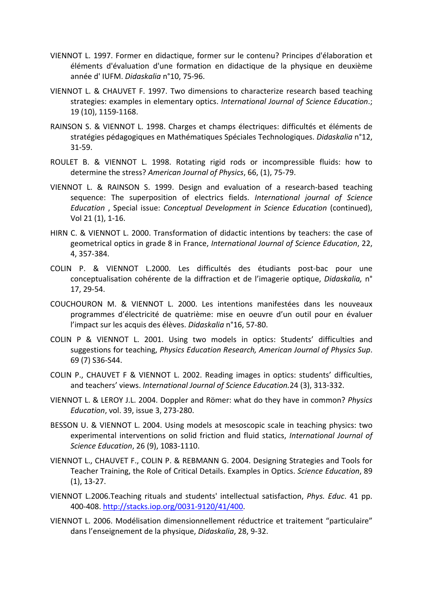- VIENNOT L. 1997. Former en didactique, former sur le contenu? Principes d'élaboration et éléments d'évaluation d'une formation en didactique de la physique en deuxième année d' IUFM. *Didaskalia* n°10, 75‐96.
- VIENNOT L. & CHAUVET F. 1997. Two dimensions to characterize research based teaching strategies: examples in elementary optics. *International Journal of Science Education*.; 19 (10), 1159‐1168.
- RAINSON S. & VIENNOT L. 1998. Charges et champs électriques: difficultés et éléments de stratégies pédagogiques en Mathématiques Spéciales Technologiques. *Didaskalia* n°12, 31‐59.
- ROULET B. & VIENNOT L. 1998. Rotating rigid rods or incompressible fluids: how to determine the stress? *American Journal of Physics*, 66, (1), 75‐79.
- VIENNOT L. & RAINSON S. 1999. Design and evaluation of a research‐based teaching sequence: The superposition of electrics fields. *International journal of Science Education* , Special issue: *Conceptual Development in Science Education* (continued), Vol 21 (1), 1‐16.
- HIRN C. & VIENNOT L. 2000. Transformation of didactic intentions by teachers: the case of geometrical optics in grade 8 in France, *International Journal of Science Education*, 22, 4, 357‐384.
- COLIN P. & VIENNOT L.2000. Les difficultés des étudiants post‐bac pour une conceptualisation cohérente de la diffraction et de l'imagerie optique, *Didaskalia,* n° 17, 29‐54.
- COUCHOURON M. & VIENNOT L. 2000. Les intentions manifestées dans les nouveaux programmes d'électricité de quatrième: mise en oeuvre d'un outil pour en évaluer l'impact sur les acquis des élèves. *Didaskalia* n°16, 57‐80.
- COLIN P & VIENNOT L. 2001. Using two models in optics: Students' difficulties and suggestions for teaching, *Physics Education Research, American Journal of Physics Sup*. 69 (7) S36‐S44.
- COLIN P., CHAUVET F & VIENNOT L. 2002. Reading images in optics: students' difficulties, and teachers' views. *International Journal of Science Education.*24 (3), 313‐332.
- VIENNOT L. & LEROY J.L. 2004. Doppler and Römer: what do they have in common? *Physics Education*, vol. 39, issue 3, 273‐280.
- BESSON U. & VIENNOT L. 2004. Using models at mesoscopic scale in teaching physics: two experimental interventions on solid friction and fluid statics, *International Journal of Science Education*, 26 (9), 1083‐1110.
- VIENNOT L., CHAUVET F., COLIN P. & REBMANN G. 2004. Designing Strategies and Tools for Teacher Training, the Role of Critical Details. Examples in Optics. *Science Education*, 89 (1), 13‐27.
- VIENNOT L.2006.Teaching rituals and students' intellectual satisfaction, *Phys. Educ*. 41 pp. 400‐408. http://stacks.iop.org/0031‐9120/41/400.
- VIENNOT L. 2006. Modélisation dimensionnellement réductrice et traitement "particulaire" dans l'enseignement de la physique, *Didaskalia*, 28, 9‐32.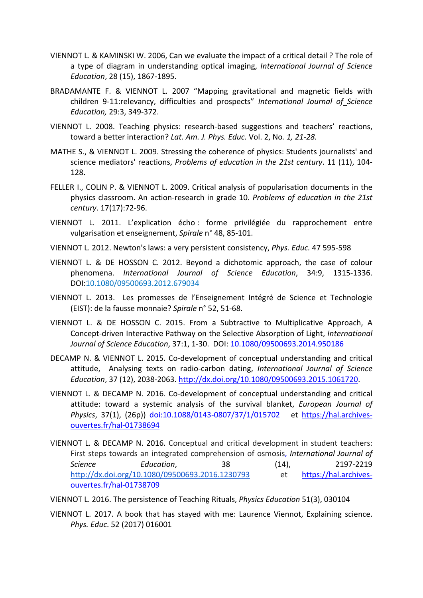- VIENNOT L. & KAMINSKI W. 2006, Can we evaluate the impact of a critical detail ? The role of a type of diagram in understanding optical imaging, *International Journal of Science Education*, 28 (15), 1867‐1895.
- BRADAMANTE F. & VIENNOT L. 2007 "Mapping gravitational and magnetic fields with children 9‐11:relevancy, difficulties and prospects" *International Journal of Science Education,* 29:3, 349‐372.
- VIENNOT L. 2008. Teaching physics: research‐based suggestions and teachers' reactions, toward a better interaction? *Lat. Am. J. Phys. Educ.* Vol. 2, No*. 1, 21‐28.*
- MATHE S., & VIENNOT L. 2009. Stressing the coherence of physics: Students journalists' and science mediators' reactions, *Problems of education in the 21st century*. 11 (11), 104‐ 128.
- FELLER I., COLIN P. & VIENNOT L. 2009. Critical analysis of popularisation documents in the physics classroom. An action‐research in grade 10. *Problems of education in the 21st century*. 17(17):72‐96.
- VIENNOT L. 2011. L'explication écho : forme privilégiée du rapprochement entre vulgarisation et enseignement, *Spirale* n° 48, 85‐101.
- VIENNOT L. 2012. Newton's laws: a very persistent consistency, *Phys. Educ.* 47 595‐598
- VIENNOT L. & DE HOSSON C. 2012. Beyond a dichotomic approach, the case of colour phenomena. *International Journal of Science Education*, 34:9, 1315‐1336. DOI:10.1080/09500693.2012.679034
- VIENNOT L. 2013. Les promesses de l'Enseignement Intégré de Science et Technologie (EIST): de la fausse monnaie? *Spirale* n° 52, 51‐68.
- VIENNOT L. & DE HOSSON C. 2015. From a Subtractive to Multiplicative Approach, A Concept‐driven Interactive Pathway on the Selective Absorption of Light, *International Journal of Science Education*, 37:1, 1‐30. DOI: 10.1080/09500693.2014.950186
- DECAMP N. & VIENNOT L. 2015. Co-development of conceptual understanding and critical attitude, Analysing texts on radio‐carbon dating, *International Journal of Science Education*, 37 (12), 2038‐2063. http://dx.doi.org/10.1080/09500693.2015.1061720.
- VIENNOT L. & DECAMP N. 2016. Co-development of conceptual understanding and critical attitude: toward a systemic analysis of the survival blanket, *European Journal of Physics*, 37(1), (26p)) doi:10.1088/0143‐0807/37/1/015702 et https://hal.archives‐ ouvertes.fr/hal‐01738694
- VIENNOT L. & DECAMP N. 2016. Conceptual and critical development in student teachers: First steps towards an integrated comprehension of osmosis, *International Journal of Science Education*, 38 (14), 2197‐2219 http://dx.doi.org/10.1080/09500693.2016.1230793 et https://hal.archivesouvertes.fr/hal‐01738709
- VIENNOT L. 2016. The persistence of Teaching Rituals, *Physics Education* 51(3), 030104
- VIENNOT L. 2017. A book that has stayed with me: Laurence Viennot, Explaining science. *Phys. Educ*. 52 (2017) 016001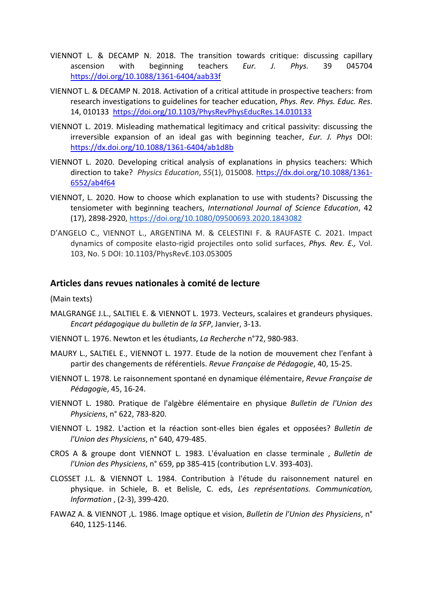- VIENNOT L. & DECAMP N. 2018. The transition towards critique: discussing capillary ascension with beginning teachers *Eur. J. Phys.* 39 045704 https://doi.org/10.1088/1361‐6404/aab33f
- VIENNOT L. & DECAMP N. 2018. Activation of a critical attitude in prospective teachers: from research investigations to guidelines for teacher education, *Phys. Rev. Phys. Educ. Res*. 14, 010133 https://doi.org/10.1103/PhysRevPhysEducRes.14.010133
- VIENNOT L. 2019. Misleading mathematical legitimacy and critical passivity: discussing the irreversible expansion of an ideal gas with beginning teacher, *Eur. J. Phys* DOI: https://dx.doi.org/10.1088/1361‐6404/ab1d8b
- VIENNOT L. 2020. Developing critical analysis of explanations in physics teachers: Which direction to take? *Physics Education*, *55*(1), 015008. https://dx.doi.org/10.1088/1361‐ 6552/ab4f64
- VIENNOT, L. 2020. How to choose which explanation to use with students? Discussing the tensiometer with beginning teachers, *International Journal of Science Education*, 42 (17), 2898‐2920, https://doi.org/10.1080/09500693.2020.1843082
- D'ANGELO C., VIENNOT L., ARGENTINA M. & CELESTINI F. & RAUFASTE C. 2021. Impact dynamics of composite elasto‐rigid projectiles onto solid surfaces, *Phys. Rev. E.,* Vol. 103, No. 5 DOI: 10.1103/PhysRevE.103.053005

### **Articles dans revues nationales à comité de lecture**

(Main texts)

- MALGRANGE J.L., SALTIEL E. & VIENNOT L. 1973. Vecteurs, scalaires et grandeurs physiques. *Encart pédagogique du bulletin de la SFP*, Janvier, 3‐13.
- VIENNOT L. 1976. Newton et les étudiants, *La Recherche* n°72, 980‐983.
- MAURY L., SALTIEL E., VIENNOT L. 1977. Etude de la notion de mouvement chez l'enfant à partir des changements de référentiels. *Revue Française de Pédagogie*, 40, 15‐25.
- VIENNOT L. 1978. Le raisonnement spontané en dynamique élémentaire, *Revue Française de Pédagogi*e, 45, 16‐24.
- VIENNOT L. 1980. Pratique de l'algèbre élémentaire en physique *Bulletin de l'Union des Physiciens*, n° 622, 783‐820.
- VIENNOT L. 1982. L'action et la réaction sont‐elles bien égales et opposées? *Bulletin de l'Union des Physiciens*, n° 640, 479‐485.
- CROS A & groupe dont VIENNOT L. 1983. L'évaluation en classe terminale , *Bulletin de l'Union des Physiciens*, n° 659, pp 385‐415 (contribution L.V. 393‐403).
- CLOSSET J.L. & VIENNOT L. 1984. Contribution à l'étude du raisonnement naturel en physique. in Schiele, B. et Belisle, C. eds, *Les représentations. Communication, Information* , (2‐3), 399‐420.
- FAWAZ A. & VIENNOT ,L. 1986. Image optique et vision, *Bulletin de l'Union des Physiciens*, n° 640, 1125‐1146.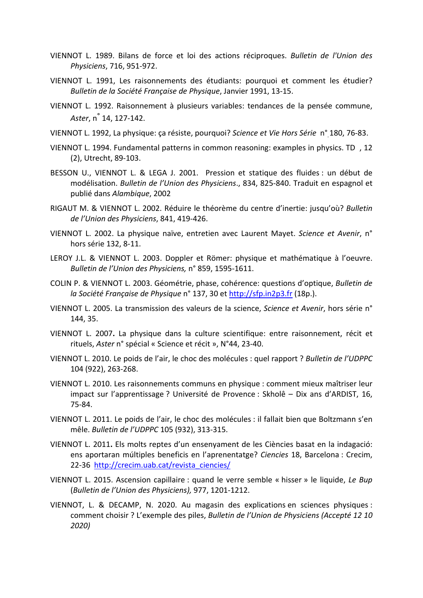- VIENNOT L. 1989. Bilans de force et loi des actions réciproques. *Bulletin de l'Union des Physiciens*, 716, 951‐972.
- VIENNOT L. 1991, Les raisonnements des étudiants: pourquoi et comment les étudier? *Bulletin de la Société Française de Physique*, Janvier 1991, 13‐15.
- VIENNOT L. 1992. Raisonnement à plusieurs variables: tendances de la pensée commune, *Aster*, n° 14, 127‐142.
- VIENNOT L. 1992, La physique: ça résiste, pourquoi? *Science et Vie Hors Série* n° 180, 76‐83.
- VIENNOT L. 1994. Fundamental patterns in common reasoning: examples in physics. TD, 12 (2), Utrecht, 89‐103.
- BESSON U., VIENNOT L. & LEGA J. 2001. Pression et statique des fluides : un début de modélisation. *Bulletin de l'Union des Physiciens*., 834, 825‐840. Traduit en espagnol et publié dans *Alambique*, 2002
- RIGAUT M. & VIENNOT L. 2002. Réduire le théorème du centre d'inertie: jusqu'où? *Bulletin de l'Union des Physiciens*, 841, 419‐426.
- VIENNOT L. 2002. La physique naïve, entretien avec Laurent Mayet. *Science et Avenir*, n° hors série 132, 8‐11.
- LEROY J.L. & VIENNOT L. 2003. Doppler et Römer: physique et mathématique à l'oeuvre. *Bulletin de l'Union des Physiciens,* n° 859, 1595‐1611.
- COLIN P. & VIENNOT L. 2003. Géométrie, phase, cohérence: questions d'optique, *Bulletin de la Société Française de Physique* n° 137, 30 et http://sfp.in2p3.fr (18p.).
- VIENNOT L. 2005. La transmission des valeurs de la science, *Science et Avenir*, hors série n° 144, 35.
- VIENNOT L. 2007**.** La physique dans la culture scientifique: entre raisonnement, récit et rituels, *Aster* n° spécial « Science et récit », N°44, 23‐40.
- VIENNOT L. 2010. Le poids de l'air, le choc des molécules : quel rapport ? *Bulletin de l'UDPPC* 104 (922), 263‐268.
- VIENNOT L. 2010. Les raisonnements communs en physique : comment mieux maîtriser leur impact sur l'apprentissage ? Université de Provence : Skholê – Dix ans d'ARDIST, 16, 75‐84.
- VIENNOT L. 2011. Le poids de l'air, le choc des molécules : il fallait bien que Boltzmann s'en mêle. *Bulletin de l'UDPPC* 105 (932), 313‐315.
- VIENNOT L. 2011**.** Els molts reptes d'un ensenyament de les Ciències basat en la indagació: ens aportaran múltiples beneficis en l'aprenentatge? *Ciencies* 18, Barcelona : Crecim, 22-36 http://crecim.uab.cat/revista\_ciencies/
- VIENNOT L. 2015. Ascension capillaire : quand le verre semble « hisser » le liquide, *Le Bup* (*Bulletin de l'Union des Physiciens),* 977, 1201‐1212.
- VIENNOT, L. & DECAMP, N. 2020. Au magasin des explications en sciences physiques : comment choisir ? L'exemple des piles, *Bulletin de l'Union de Physiciens (Accepté 12 10 2020)*